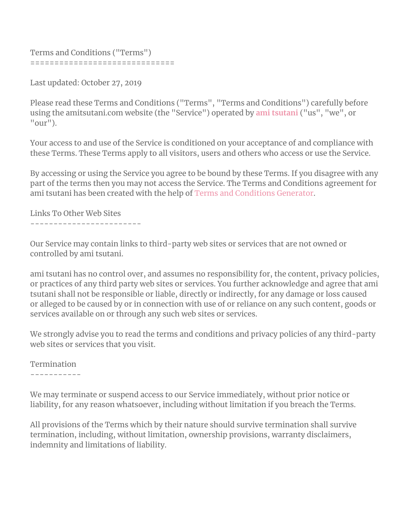```
Terms and Conditions ("Terms")
==============================
```
Last updated: October 27, 2019

Please read these Terms and Conditions ("Terms", "Terms and Conditions") carefully before using the amitsutani.com website (the "Service") operated by **ami [tsutani](http://www.amitsutani.com/)** ("us", "we", or  $"our"$ ).

Your access to and use of the Service is conditioned on your acceptance of and compliance with these Terms. These Terms apply to all visitors, users and others who access or use the Service.

By accessing or using the Service you agree to be bound by these Terms. If you disagree with any part of the terms then you may not access the Service. The Terms and Conditions agreement for ami tsutani has been created with the help of Terms and [Conditions](https://www.termsfeed.com/terms-conditions-generator/) Generator.

Links To Other Web Sites

------------------------

Our Service may contain links to third-party web sites or services that are not owned or controlled by ami tsutani.

ami tsutani has no control over, and assumes no responsibility for, the content, privacy policies, or practices of any third party web sites or services. You further acknowledge and agree that ami tsutani shall not be responsible or liable, directly or indirectly, for any damage or loss caused or alleged to be caused by or in connection with use of or reliance on any such content, goods or services available on or through any such web sites or services.

We strongly advise you to read the terms and conditions and privacy policies of any third-party web sites or services that you visit.

## Termination

-----------

We may terminate or suspend access to our Service immediately, without prior notice or liability, for any reason whatsoever, including without limitation if you breach the Terms.

All provisions of the Terms which by their nature should survive termination shall survive termination, including, without limitation, ownership provisions, warranty disclaimers, indemnity and limitations of liability.